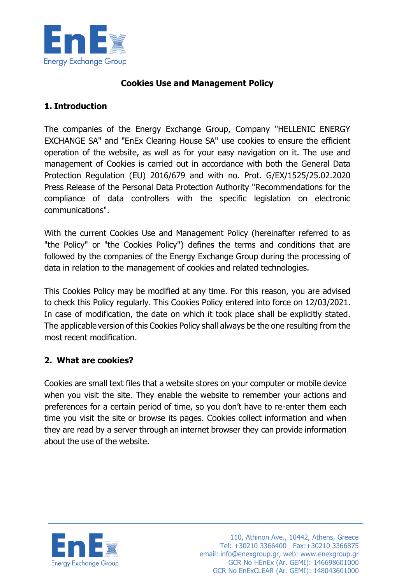

### **Cookies Use and Management Policy**

### **1. Introduction**

The companies of the Energy Exchange Group, Company "HELLENIC ENERGY EXCHANGE SA" and "EnEx Clearing House SA" use cookies to ensure the efficient operation of the website, as well as for your easy navigation on it. The use and management of Cookies is carried out in accordance with both the General Data Protection Regulation (EU) 2016/679 and with no. Prot. G/EX/1525/25.02.2020 Press Release of the Personal Data Protection Authority "Recommendations for the compliance of data controllers with the specific legislation on electronic communications".

With the current Cookies Use and Management Policy (hereinafter referred to as "the Policy" or "the Cookies Policy") defines the terms and conditions that are followed by the companies of the Energy Exchange Group during the processing of data in relation to the management of cookies and related technologies.

This Cookies Policy may be modified at any time. For this reason, you are advised to check this Policy regularly. This Cookies Policy entered into force on 12/03/2021. In case of modification, the date on which it took place shall be explicitly stated. The applicable version of this Cookies Policy shall always be the one resulting from the most recent modification.

#### **2. What are cookies?**

Cookies are small text files that a website stores on your computer or mobile device when you visit the site. They enable the website to remember your actions and preferences for a certain period of time, so you don't have to re-enter them each time you visit the site or browse its pages. Cookies collect information and when they are read by a server through an internet browser they can provide information about the use of the website.

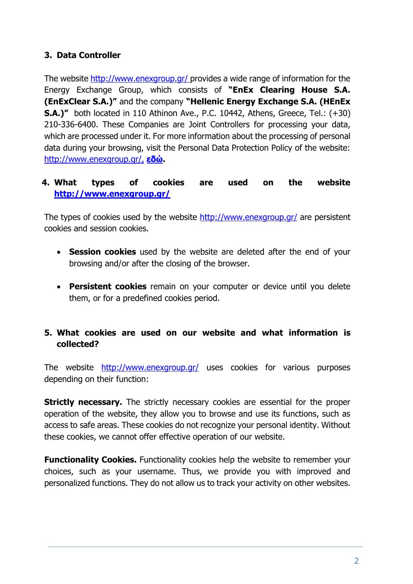# **3. Data Controller**

The website<http://www.enexgroup.gr/> provides a wide range of information for the Energy Exchange Group, which consists of **"EnΕx Clearing House S.A. (EnExClear S.A.)"** and the company **"Hellenic Energy Exchange S.A. (HEnEx S.A.)"** both located in 110 Athinon Ave., P.C. 10442, Athens, Greece, Tel.: (+30) 210-336-6400. These Companies are Joint Controllers for processing your data, which are processed under it. For more information about the processing of personal data during your browsing, visit the Personal Data Protection Policy of the website: [http://www.enexgroup.gr/,](http://www.enexgroup.gr/) **[εδώ](https://www.enexgroup.gr/web/guest/privacy-policy).**

# **4. What types of cookies are used on the website <http://www.enexgroup.gr/>**

The types of cookies used by the website<http://www.enexgroup.gr/> are persistent cookies and session cookies.

- **Session cookies** used by the website are deleted after the end of your browsing and/or after the closing of the browser.
- **Persistent cookies** remain on your computer or device until you delete them, or for a predefined cookies period.

# **5. What cookies are used on our website and what information is collected?**

The website <http://www.enexgroup.gr/> uses cookies for various purposes depending on their function:

**Strictly necessary.** The strictly necessary cookies are essential for the proper operation of the website, they allow you to browse and use its functions, such as access to safe areas. These cookies do not recognize your personal identity. Without these cookies, we cannot offer effective operation of our website.

**Functionality Cookies.** Functionality cookies help the website to remember your choices, such as your username. Thus, we provide you with improved and personalized functions. They do not allow us to track your activity on other websites.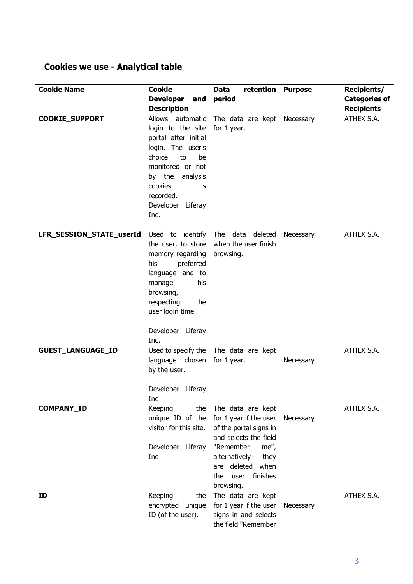# **Cookies we use - Analytical table**

| <b>Cookie Name</b>       | <b>Cookie</b>                                                                                                                                                                                              | retention<br><b>Data</b>                                                                                                                                                                                 | <b>Purpose</b> | <b>Recipients/</b>                        |
|--------------------------|------------------------------------------------------------------------------------------------------------------------------------------------------------------------------------------------------------|----------------------------------------------------------------------------------------------------------------------------------------------------------------------------------------------------------|----------------|-------------------------------------------|
|                          | <b>Developer</b><br>and<br><b>Description</b>                                                                                                                                                              | period                                                                                                                                                                                                   |                | <b>Categories of</b><br><b>Recipients</b> |
| <b>COOKIE SUPPORT</b>    | Allows automatic<br>login to the site<br>portal after initial<br>login. The user's<br>choice<br>to<br>be<br>monitored or not<br>by the analysis<br>cookies<br>is<br>recorded.<br>Developer Liferay<br>Inc. | The data are kept<br>for 1 year.                                                                                                                                                                         | Necessary      | ATHEX S.A.                                |
| LFR SESSION STATE userId | Used to identify<br>the user, to store<br>memory regarding<br>preferred<br>his<br>language and to<br>his<br>manage<br>browsing,<br>the<br>respecting<br>user login time.<br>Developer Liferay<br>Inc.      | The data deleted<br>when the user finish<br>browsing.                                                                                                                                                    | Necessary      | ATHEX S.A.                                |
| <b>GUEST_LANGUAGE_ID</b> | Used to specify the<br>language chosen<br>by the user.<br>Developer Liferay<br>Inc                                                                                                                         | The data are kept<br>for 1 year.                                                                                                                                                                         | Necessary      | ATHEX S.A.                                |
| COMPANY_ID               | Keeping<br>the<br>unique ID of the<br>visitor for this site.<br>Developer Liferay<br>Inc                                                                                                                   | The data are kept<br>for 1 year if the user<br>of the portal signs in<br>and selects the field<br>"Remember<br>me",<br>alternatively<br>they<br>are deleted when<br>user<br>the<br>finishes<br>browsing. | Necessary      | ATHEX S.A.                                |
| ID                       | Keeping<br>the<br>encrypted unique<br>ID (of the user).                                                                                                                                                    | The data are kept<br>for 1 year if the user<br>signs in and selects<br>the field "Remember                                                                                                               | Necessary      | ATHEX S.A.                                |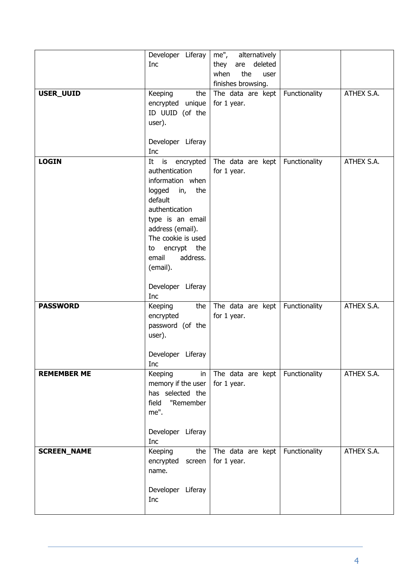| are deleted<br>Inc<br>they<br>the<br>when<br>user<br>finishes browsing.<br>ATHEX S.A.<br>Functionality<br>USER_UUID<br>Keeping<br>the<br>The data are kept<br>for 1 year.<br>encrypted unique<br>ID UUID (of the<br>user).<br>Developer Liferay<br>Inc<br>Functionality<br>ATHEX S.A.<br><b>LOGIN</b><br>is encrypted<br>The data are kept<br>It<br>authentication<br>for 1 year.<br>information when<br>logged<br>in,<br>the<br>default<br>authentication<br>type is an email<br>address (email).<br>The cookie is used<br>encrypt the<br>to<br>email<br>address.<br>(email).<br>Developer Liferay<br>Inc<br>ATHEX S.A.<br>Keeping<br>the<br>The data are kept<br>Functionality<br><b>PASSWORD</b><br>encrypted<br>for 1 year. |
|---------------------------------------------------------------------------------------------------------------------------------------------------------------------------------------------------------------------------------------------------------------------------------------------------------------------------------------------------------------------------------------------------------------------------------------------------------------------------------------------------------------------------------------------------------------------------------------------------------------------------------------------------------------------------------------------------------------------------------|
|                                                                                                                                                                                                                                                                                                                                                                                                                                                                                                                                                                                                                                                                                                                                 |
|                                                                                                                                                                                                                                                                                                                                                                                                                                                                                                                                                                                                                                                                                                                                 |
|                                                                                                                                                                                                                                                                                                                                                                                                                                                                                                                                                                                                                                                                                                                                 |
|                                                                                                                                                                                                                                                                                                                                                                                                                                                                                                                                                                                                                                                                                                                                 |
|                                                                                                                                                                                                                                                                                                                                                                                                                                                                                                                                                                                                                                                                                                                                 |
|                                                                                                                                                                                                                                                                                                                                                                                                                                                                                                                                                                                                                                                                                                                                 |
|                                                                                                                                                                                                                                                                                                                                                                                                                                                                                                                                                                                                                                                                                                                                 |
|                                                                                                                                                                                                                                                                                                                                                                                                                                                                                                                                                                                                                                                                                                                                 |
|                                                                                                                                                                                                                                                                                                                                                                                                                                                                                                                                                                                                                                                                                                                                 |
|                                                                                                                                                                                                                                                                                                                                                                                                                                                                                                                                                                                                                                                                                                                                 |
|                                                                                                                                                                                                                                                                                                                                                                                                                                                                                                                                                                                                                                                                                                                                 |
|                                                                                                                                                                                                                                                                                                                                                                                                                                                                                                                                                                                                                                                                                                                                 |
|                                                                                                                                                                                                                                                                                                                                                                                                                                                                                                                                                                                                                                                                                                                                 |
|                                                                                                                                                                                                                                                                                                                                                                                                                                                                                                                                                                                                                                                                                                                                 |
|                                                                                                                                                                                                                                                                                                                                                                                                                                                                                                                                                                                                                                                                                                                                 |
|                                                                                                                                                                                                                                                                                                                                                                                                                                                                                                                                                                                                                                                                                                                                 |
|                                                                                                                                                                                                                                                                                                                                                                                                                                                                                                                                                                                                                                                                                                                                 |
|                                                                                                                                                                                                                                                                                                                                                                                                                                                                                                                                                                                                                                                                                                                                 |
|                                                                                                                                                                                                                                                                                                                                                                                                                                                                                                                                                                                                                                                                                                                                 |
|                                                                                                                                                                                                                                                                                                                                                                                                                                                                                                                                                                                                                                                                                                                                 |
|                                                                                                                                                                                                                                                                                                                                                                                                                                                                                                                                                                                                                                                                                                                                 |
|                                                                                                                                                                                                                                                                                                                                                                                                                                                                                                                                                                                                                                                                                                                                 |
|                                                                                                                                                                                                                                                                                                                                                                                                                                                                                                                                                                                                                                                                                                                                 |
|                                                                                                                                                                                                                                                                                                                                                                                                                                                                                                                                                                                                                                                                                                                                 |
|                                                                                                                                                                                                                                                                                                                                                                                                                                                                                                                                                                                                                                                                                                                                 |
|                                                                                                                                                                                                                                                                                                                                                                                                                                                                                                                                                                                                                                                                                                                                 |
| user).                                                                                                                                                                                                                                                                                                                                                                                                                                                                                                                                                                                                                                                                                                                          |
|                                                                                                                                                                                                                                                                                                                                                                                                                                                                                                                                                                                                                                                                                                                                 |
|                                                                                                                                                                                                                                                                                                                                                                                                                                                                                                                                                                                                                                                                                                                                 |
| Developer Liferay                                                                                                                                                                                                                                                                                                                                                                                                                                                                                                                                                                                                                                                                                                               |
| Inc                                                                                                                                                                                                                                                                                                                                                                                                                                                                                                                                                                                                                                                                                                                             |
| Functionality<br>The data are kept<br>ATHEX S.A.<br><b>REMEMBER ME</b><br>Keeping<br>in                                                                                                                                                                                                                                                                                                                                                                                                                                                                                                                                                                                                                                         |
| memory if the user<br>for 1 year.                                                                                                                                                                                                                                                                                                                                                                                                                                                                                                                                                                                                                                                                                               |
| has selected the                                                                                                                                                                                                                                                                                                                                                                                                                                                                                                                                                                                                                                                                                                                |
| "Remember<br>field<br>me".                                                                                                                                                                                                                                                                                                                                                                                                                                                                                                                                                                                                                                                                                                      |
|                                                                                                                                                                                                                                                                                                                                                                                                                                                                                                                                                                                                                                                                                                                                 |
| Developer Liferay                                                                                                                                                                                                                                                                                                                                                                                                                                                                                                                                                                                                                                                                                                               |
| Inc                                                                                                                                                                                                                                                                                                                                                                                                                                                                                                                                                                                                                                                                                                                             |
| the<br>Functionality<br>ATHEX S.A.<br><b>SCREEN_NAME</b><br>Keeping<br>The data are kept                                                                                                                                                                                                                                                                                                                                                                                                                                                                                                                                                                                                                                        |
| for 1 year.<br>encrypted<br>screen                                                                                                                                                                                                                                                                                                                                                                                                                                                                                                                                                                                                                                                                                              |
| name.                                                                                                                                                                                                                                                                                                                                                                                                                                                                                                                                                                                                                                                                                                                           |
|                                                                                                                                                                                                                                                                                                                                                                                                                                                                                                                                                                                                                                                                                                                                 |
| Developer Liferay<br>Inc                                                                                                                                                                                                                                                                                                                                                                                                                                                                                                                                                                                                                                                                                                        |
|                                                                                                                                                                                                                                                                                                                                                                                                                                                                                                                                                                                                                                                                                                                                 |
|                                                                                                                                                                                                                                                                                                                                                                                                                                                                                                                                                                                                                                                                                                                                 |
|                                                                                                                                                                                                                                                                                                                                                                                                                                                                                                                                                                                                                                                                                                                                 |
|                                                                                                                                                                                                                                                                                                                                                                                                                                                                                                                                                                                                                                                                                                                                 |
|                                                                                                                                                                                                                                                                                                                                                                                                                                                                                                                                                                                                                                                                                                                                 |
|                                                                                                                                                                                                                                                                                                                                                                                                                                                                                                                                                                                                                                                                                                                                 |
|                                                                                                                                                                                                                                                                                                                                                                                                                                                                                                                                                                                                                                                                                                                                 |
| password (of the                                                                                                                                                                                                                                                                                                                                                                                                                                                                                                                                                                                                                                                                                                                |
|                                                                                                                                                                                                                                                                                                                                                                                                                                                                                                                                                                                                                                                                                                                                 |
|                                                                                                                                                                                                                                                                                                                                                                                                                                                                                                                                                                                                                                                                                                                                 |
|                                                                                                                                                                                                                                                                                                                                                                                                                                                                                                                                                                                                                                                                                                                                 |
|                                                                                                                                                                                                                                                                                                                                                                                                                                                                                                                                                                                                                                                                                                                                 |
|                                                                                                                                                                                                                                                                                                                                                                                                                                                                                                                                                                                                                                                                                                                                 |
|                                                                                                                                                                                                                                                                                                                                                                                                                                                                                                                                                                                                                                                                                                                                 |
|                                                                                                                                                                                                                                                                                                                                                                                                                                                                                                                                                                                                                                                                                                                                 |
|                                                                                                                                                                                                                                                                                                                                                                                                                                                                                                                                                                                                                                                                                                                                 |
|                                                                                                                                                                                                                                                                                                                                                                                                                                                                                                                                                                                                                                                                                                                                 |
|                                                                                                                                                                                                                                                                                                                                                                                                                                                                                                                                                                                                                                                                                                                                 |
|                                                                                                                                                                                                                                                                                                                                                                                                                                                                                                                                                                                                                                                                                                                                 |
|                                                                                                                                                                                                                                                                                                                                                                                                                                                                                                                                                                                                                                                                                                                                 |
|                                                                                                                                                                                                                                                                                                                                                                                                                                                                                                                                                                                                                                                                                                                                 |
|                                                                                                                                                                                                                                                                                                                                                                                                                                                                                                                                                                                                                                                                                                                                 |
|                                                                                                                                                                                                                                                                                                                                                                                                                                                                                                                                                                                                                                                                                                                                 |
|                                                                                                                                                                                                                                                                                                                                                                                                                                                                                                                                                                                                                                                                                                                                 |
|                                                                                                                                                                                                                                                                                                                                                                                                                                                                                                                                                                                                                                                                                                                                 |
|                                                                                                                                                                                                                                                                                                                                                                                                                                                                                                                                                                                                                                                                                                                                 |
|                                                                                                                                                                                                                                                                                                                                                                                                                                                                                                                                                                                                                                                                                                                                 |
|                                                                                                                                                                                                                                                                                                                                                                                                                                                                                                                                                                                                                                                                                                                                 |
|                                                                                                                                                                                                                                                                                                                                                                                                                                                                                                                                                                                                                                                                                                                                 |
|                                                                                                                                                                                                                                                                                                                                                                                                                                                                                                                                                                                                                                                                                                                                 |
|                                                                                                                                                                                                                                                                                                                                                                                                                                                                                                                                                                                                                                                                                                                                 |
|                                                                                                                                                                                                                                                                                                                                                                                                                                                                                                                                                                                                                                                                                                                                 |
|                                                                                                                                                                                                                                                                                                                                                                                                                                                                                                                                                                                                                                                                                                                                 |
|                                                                                                                                                                                                                                                                                                                                                                                                                                                                                                                                                                                                                                                                                                                                 |
|                                                                                                                                                                                                                                                                                                                                                                                                                                                                                                                                                                                                                                                                                                                                 |
|                                                                                                                                                                                                                                                                                                                                                                                                                                                                                                                                                                                                                                                                                                                                 |
|                                                                                                                                                                                                                                                                                                                                                                                                                                                                                                                                                                                                                                                                                                                                 |
|                                                                                                                                                                                                                                                                                                                                                                                                                                                                                                                                                                                                                                                                                                                                 |
|                                                                                                                                                                                                                                                                                                                                                                                                                                                                                                                                                                                                                                                                                                                                 |
|                                                                                                                                                                                                                                                                                                                                                                                                                                                                                                                                                                                                                                                                                                                                 |
|                                                                                                                                                                                                                                                                                                                                                                                                                                                                                                                                                                                                                                                                                                                                 |
|                                                                                                                                                                                                                                                                                                                                                                                                                                                                                                                                                                                                                                                                                                                                 |
|                                                                                                                                                                                                                                                                                                                                                                                                                                                                                                                                                                                                                                                                                                                                 |
|                                                                                                                                                                                                                                                                                                                                                                                                                                                                                                                                                                                                                                                                                                                                 |
|                                                                                                                                                                                                                                                                                                                                                                                                                                                                                                                                                                                                                                                                                                                                 |
|                                                                                                                                                                                                                                                                                                                                                                                                                                                                                                                                                                                                                                                                                                                                 |
|                                                                                                                                                                                                                                                                                                                                                                                                                                                                                                                                                                                                                                                                                                                                 |
|                                                                                                                                                                                                                                                                                                                                                                                                                                                                                                                                                                                                                                                                                                                                 |
|                                                                                                                                                                                                                                                                                                                                                                                                                                                                                                                                                                                                                                                                                                                                 |
|                                                                                                                                                                                                                                                                                                                                                                                                                                                                                                                                                                                                                                                                                                                                 |
|                                                                                                                                                                                                                                                                                                                                                                                                                                                                                                                                                                                                                                                                                                                                 |
|                                                                                                                                                                                                                                                                                                                                                                                                                                                                                                                                                                                                                                                                                                                                 |
|                                                                                                                                                                                                                                                                                                                                                                                                                                                                                                                                                                                                                                                                                                                                 |
|                                                                                                                                                                                                                                                                                                                                                                                                                                                                                                                                                                                                                                                                                                                                 |
|                                                                                                                                                                                                                                                                                                                                                                                                                                                                                                                                                                                                                                                                                                                                 |
|                                                                                                                                                                                                                                                                                                                                                                                                                                                                                                                                                                                                                                                                                                                                 |
|                                                                                                                                                                                                                                                                                                                                                                                                                                                                                                                                                                                                                                                                                                                                 |
|                                                                                                                                                                                                                                                                                                                                                                                                                                                                                                                                                                                                                                                                                                                                 |
|                                                                                                                                                                                                                                                                                                                                                                                                                                                                                                                                                                                                                                                                                                                                 |
|                                                                                                                                                                                                                                                                                                                                                                                                                                                                                                                                                                                                                                                                                                                                 |
|                                                                                                                                                                                                                                                                                                                                                                                                                                                                                                                                                                                                                                                                                                                                 |
|                                                                                                                                                                                                                                                                                                                                                                                                                                                                                                                                                                                                                                                                                                                                 |
|                                                                                                                                                                                                                                                                                                                                                                                                                                                                                                                                                                                                                                                                                                                                 |
|                                                                                                                                                                                                                                                                                                                                                                                                                                                                                                                                                                                                                                                                                                                                 |
|                                                                                                                                                                                                                                                                                                                                                                                                                                                                                                                                                                                                                                                                                                                                 |
|                                                                                                                                                                                                                                                                                                                                                                                                                                                                                                                                                                                                                                                                                                                                 |
|                                                                                                                                                                                                                                                                                                                                                                                                                                                                                                                                                                                                                                                                                                                                 |
|                                                                                                                                                                                                                                                                                                                                                                                                                                                                                                                                                                                                                                                                                                                                 |
|                                                                                                                                                                                                                                                                                                                                                                                                                                                                                                                                                                                                                                                                                                                                 |
|                                                                                                                                                                                                                                                                                                                                                                                                                                                                                                                                                                                                                                                                                                                                 |
|                                                                                                                                                                                                                                                                                                                                                                                                                                                                                                                                                                                                                                                                                                                                 |
|                                                                                                                                                                                                                                                                                                                                                                                                                                                                                                                                                                                                                                                                                                                                 |
|                                                                                                                                                                                                                                                                                                                                                                                                                                                                                                                                                                                                                                                                                                                                 |
|                                                                                                                                                                                                                                                                                                                                                                                                                                                                                                                                                                                                                                                                                                                                 |
|                                                                                                                                                                                                                                                                                                                                                                                                                                                                                                                                                                                                                                                                                                                                 |
|                                                                                                                                                                                                                                                                                                                                                                                                                                                                                                                                                                                                                                                                                                                                 |
|                                                                                                                                                                                                                                                                                                                                                                                                                                                                                                                                                                                                                                                                                                                                 |
|                                                                                                                                                                                                                                                                                                                                                                                                                                                                                                                                                                                                                                                                                                                                 |
|                                                                                                                                                                                                                                                                                                                                                                                                                                                                                                                                                                                                                                                                                                                                 |
|                                                                                                                                                                                                                                                                                                                                                                                                                                                                                                                                                                                                                                                                                                                                 |
|                                                                                                                                                                                                                                                                                                                                                                                                                                                                                                                                                                                                                                                                                                                                 |
|                                                                                                                                                                                                                                                                                                                                                                                                                                                                                                                                                                                                                                                                                                                                 |
|                                                                                                                                                                                                                                                                                                                                                                                                                                                                                                                                                                                                                                                                                                                                 |
|                                                                                                                                                                                                                                                                                                                                                                                                                                                                                                                                                                                                                                                                                                                                 |
|                                                                                                                                                                                                                                                                                                                                                                                                                                                                                                                                                                                                                                                                                                                                 |
|                                                                                                                                                                                                                                                                                                                                                                                                                                                                                                                                                                                                                                                                                                                                 |
|                                                                                                                                                                                                                                                                                                                                                                                                                                                                                                                                                                                                                                                                                                                                 |
|                                                                                                                                                                                                                                                                                                                                                                                                                                                                                                                                                                                                                                                                                                                                 |
|                                                                                                                                                                                                                                                                                                                                                                                                                                                                                                                                                                                                                                                                                                                                 |
|                                                                                                                                                                                                                                                                                                                                                                                                                                                                                                                                                                                                                                                                                                                                 |
|                                                                                                                                                                                                                                                                                                                                                                                                                                                                                                                                                                                                                                                                                                                                 |
|                                                                                                                                                                                                                                                                                                                                                                                                                                                                                                                                                                                                                                                                                                                                 |
|                                                                                                                                                                                                                                                                                                                                                                                                                                                                                                                                                                                                                                                                                                                                 |
|                                                                                                                                                                                                                                                                                                                                                                                                                                                                                                                                                                                                                                                                                                                                 |
|                                                                                                                                                                                                                                                                                                                                                                                                                                                                                                                                                                                                                                                                                                                                 |
|                                                                                                                                                                                                                                                                                                                                                                                                                                                                                                                                                                                                                                                                                                                                 |
|                                                                                                                                                                                                                                                                                                                                                                                                                                                                                                                                                                                                                                                                                                                                 |
|                                                                                                                                                                                                                                                                                                                                                                                                                                                                                                                                                                                                                                                                                                                                 |
|                                                                                                                                                                                                                                                                                                                                                                                                                                                                                                                                                                                                                                                                                                                                 |
|                                                                                                                                                                                                                                                                                                                                                                                                                                                                                                                                                                                                                                                                                                                                 |
|                                                                                                                                                                                                                                                                                                                                                                                                                                                                                                                                                                                                                                                                                                                                 |
|                                                                                                                                                                                                                                                                                                                                                                                                                                                                                                                                                                                                                                                                                                                                 |
|                                                                                                                                                                                                                                                                                                                                                                                                                                                                                                                                                                                                                                                                                                                                 |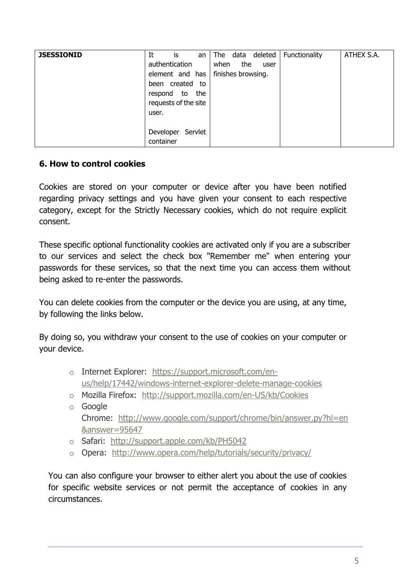| <b>JSESSIONID</b> | It<br>is<br>an<br>authentication<br>element and has<br>created to<br>been<br>the<br>respond<br>to<br>requests of the site<br>user. | The data deleted<br>the<br>when<br>user<br>finishes browsing. | Functionality | ATHEX S.A. |
|-------------------|------------------------------------------------------------------------------------------------------------------------------------|---------------------------------------------------------------|---------------|------------|
|                   | Servlet<br>Developer<br>container                                                                                                  |                                                               |               |            |

### **6. How to control cookies**

Cookies are stored on your computer or device after you have been notified regarding privacy settings and you have given your consent to each respective category, except for the Strictly Necessary cookies, which do not require explicit consent.

These specific optional functionality cookies are activated only if you are a subscriber to our services and select the check box "Remember me" when entering your passwords for these services, so that the next time you can access them without being asked to re-enter the passwords.

You can delete cookies from the computer or the device you are using, at any time, by following the links below.

By doing so, you withdraw your consent to the use of cookies on your computer or your device.

- o Internet Explorer: [https://support.microsoft.com/en](https://support.microsoft.com/en-us/help/17442/windows-internet-explorer-delete-manage-cookies)[us/help/17442/windows-internet-explorer-delete-manage-cookies](https://support.microsoft.com/en-us/help/17442/windows-internet-explorer-delete-manage-cookies)
- o Mozilla Firefox: <http://support.mozilla.com/en-US/kb/Cookies>
- o Google Chrome: [http://www.google.com/support/chrome/bin/answer.py?hl=en](http://www.google.com/support/chrome/bin/answer.py?hl=en&answer=95647) [&answer=95647](http://www.google.com/support/chrome/bin/answer.py?hl=en&answer=95647)
- o Safari: <http://support.apple.com/kb/PH5042>
- o Opera: <http://www.opera.com/help/tutorials/security/privacy/>

You can also configure your browser to either alert you about the use of cookies for specific website services or not permit the acceptance of cookies in any circumstances.